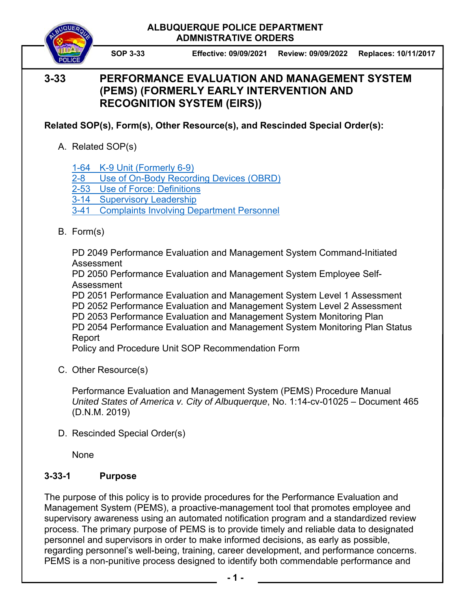

**SOP 3-33 Effective: 09/09/2021 Review: 09/09/2022 Replaces: 10/11/2017**

# **3-33 PERFORMANCE EVALUATION AND MANAGEMENT SYSTEM (PEMS) (FORMERLY EARLY INTERVENTION AND RECOGNITION SYSTEM (EIRS))**

**Related SOP(s), Form(s), Other Resource(s), and Rescinded Special Order(s):** 

A. Related SOP(s)

1-64 K-9 Unit (Formerly 6-9)

2-8 Use of On-Body Recording Devices (OBRD)

2-53 Use of Force: Definitions

3-14 Supervisory Leadership

3-41 Complaints Involving Department Personnel

B. Form(s)

 PD 2049 Performance Evaluation and Management System Command-Initiated Assessment

 PD 2050 Performance Evaluation and Management System Employee Self- Assessment

 PD 2051 Performance Evaluation and Management System Level 1 Assessment PD 2052 Performance Evaluation and Management System Level 2 Assessment PD 2053 Performance Evaluation and Management System Monitoring Plan PD 2054 Performance Evaluation and Management System Monitoring Plan Status Report

Policy and Procedure Unit SOP Recommendation Form

C. Other Resource(s)

 Performance Evaluation and Management System (PEMS) Procedure Manual  *United States of America v. City of Albuquerque*, No. 1:14-cv-01025 – Document 465 (D.N.M. 2019)

D. Rescinded Special Order(s)

None

## **3-33-1 Purpose**

The purpose of this policy is to provide procedures for the Performance Evaluation and Management System (PEMS), a proactive-management tool that promotes employee and supervisory awareness using an automated notification program and a standardized review process. The primary purpose of PEMS is to provide timely and reliable data to designated personnel and supervisors in order to make informed decisions, as early as possible, regarding personnel's well-being, training, career development, and performance concerns. PEMS is a non-punitive process designed to identify both commendable performance and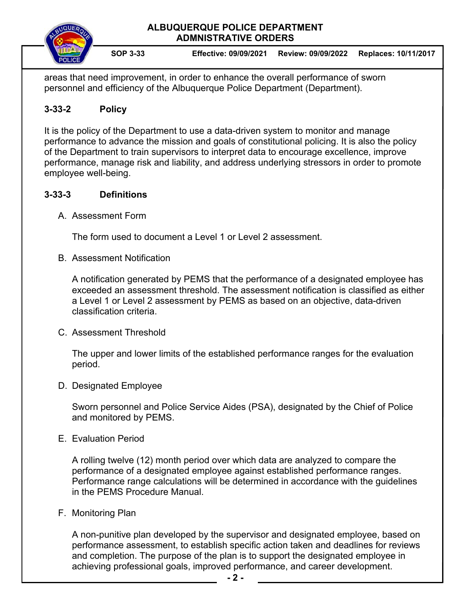

**SOP 3-33 Effective: 09/09/2021 Review: 09/09/2022 Replaces: 10/11/2017**

areas that need improvement, in order to enhance the overall performance of sworn personnel and efficiency of the Albuquerque Police Department (Department).

## **3-33-2 Policy**

It is the policy of the Department to use a data-driven system to monitor and manage performance to advance the mission and goals of constitutional policing. It is also the policy of the Department to train supervisors to interpret data to encourage excellence, improve performance, manage risk and liability, and address underlying stressors in order to promote employee well-being.

## **3-33-3 Definitions**

A. Assessment Form

The form used to document a Level 1 or Level 2 assessment.

B. Assessment Notification

A notification generated by PEMS that the performance of a designated employee has exceeded an assessment threshold. The assessment notification is classified as either a Level 1 or Level 2 assessment by PEMS as based on an objective, data-driven classification criteria.

C. Assessment Threshold

The upper and lower limits of the established performance ranges for the evaluation period.

D. Designated Employee

Sworn personnel and Police Service Aides (PSA), designated by the Chief of Police and monitored by PEMS.

E. Evaluation Period

A rolling twelve (12) month period over which data are analyzed to compare the performance of a designated employee against established performance ranges. Performance range calculations will be determined in accordance with the guidelines in the PEMS Procedure Manual.

F. Monitoring Plan

A non-punitive plan developed by the supervisor and designated employee, based on performance assessment, to establish specific action taken and deadlines for reviews and completion. The purpose of the plan is to support the designated employee in achieving professional goals, improved performance, and career development.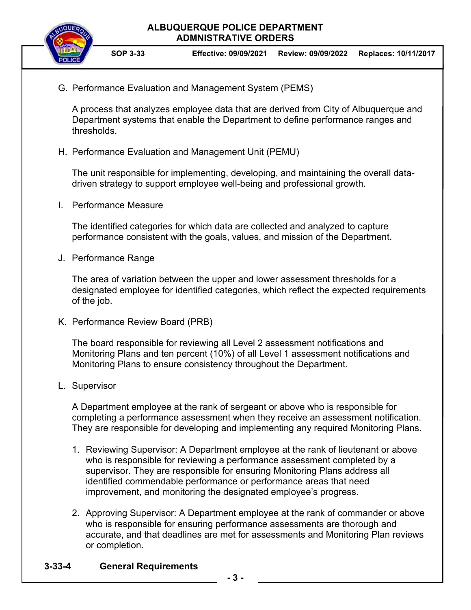

G. Performance Evaluation and Management System (PEMS)

A process that analyzes employee data that are derived from City of Albuquerque and Department systems that enable the Department to define performance ranges and thresholds.

H. Performance Evaluation and Management Unit (PEMU)

The unit responsible for implementing, developing, and maintaining the overall datadriven strategy to support employee well-being and professional growth.

I. Performance Measure

The identified categories for which data are collected and analyzed to capture performance consistent with the goals, values, and mission of the Department.

J. Performance Range

The area of variation between the upper and lower assessment thresholds for a designated employee for identified categories, which reflect the expected requirements of the job.

K. Performance Review Board (PRB)

The board responsible for reviewing all Level 2 assessment notifications and Monitoring Plans and ten percent (10%) of all Level 1 assessment notifications and Monitoring Plans to ensure consistency throughout the Department.

L. Supervisor

A Department employee at the rank of sergeant or above who is responsible for completing a performance assessment when they receive an assessment notification. They are responsible for developing and implementing any required Monitoring Plans.

- 1. Reviewing Supervisor: A Department employee at the rank of lieutenant or above who is responsible for reviewing a performance assessment completed by a supervisor. They are responsible for ensuring Monitoring Plans address all identified commendable performance or performance areas that need improvement, and monitoring the designated employee's progress.
- 2. Approving Supervisor: A Department employee at the rank of commander or above who is responsible for ensuring performance assessments are thorough and accurate, and that deadlines are met for assessments and Monitoring Plan reviews or completion.

## **3-33-4 General Requirements**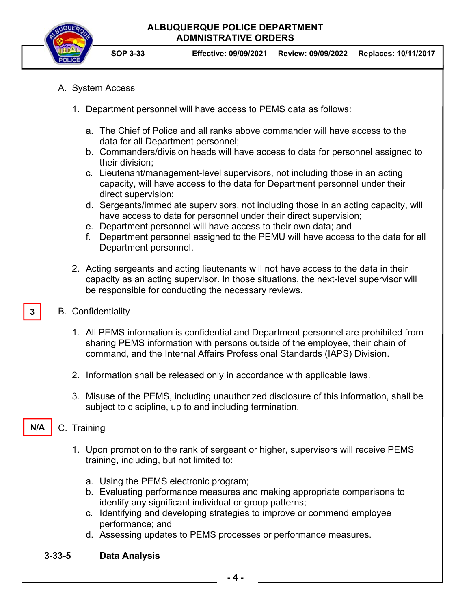

**SOP 3-33 Effective: 09/09/2021 Review: 09/09/2022 Replaces: 10/11/2017**

- A. System Access
	- 1. Department personnel will have access to PEMS data as follows:
		- a. The Chief of Police and all ranks above commander will have access to the data for all Department personnel;
		- b. Commanders/division heads will have access to data for personnel assigned to their division;
		- c. Lieutenant/management-level supervisors, not including those in an acting capacity, will have access to the data for Department personnel under their direct supervision;
		- d. Sergeants/immediate supervisors, not including those in an acting capacity, will have access to data for personnel under their direct supervision;
		- e. Department personnel will have access to their own data; and
		- f. Department personnel assigned to the PEMU will have access to the data for all Department personnel.
	- 2. Acting sergeants and acting lieutenants will not have access to the data in their capacity as an acting supervisor. In those situations, the next-level supervisor will be responsible for conducting the necessary reviews.
- B. Confidentiality

**3** 

- 1. All PEMS information is confidential and Department personnel are prohibited from sharing PEMS information with persons outside of the employee, their chain of command, and the Internal Affairs Professional Standards (IAPS) Division.
- 2. Information shall be released only in accordance with applicable laws.
- 3. Misuse of the PEMS, including unauthorized disclosure of this information, shall be subject to discipline, up to and including termination.

#### C. Training **N/A**

- 1. Upon promotion to the rank of sergeant or higher, supervisors will receive PEMS training, including, but not limited to:
	- a. Using the PEMS electronic program;
	- b. Evaluating performance measures and making appropriate comparisons to identify any significant individual or group patterns;
	- c. Identifying and developing strategies to improve or commend employee performance; and
	- d. Assessing updates to PEMS processes or performance measures.
- **3-33-5 Data Analysis**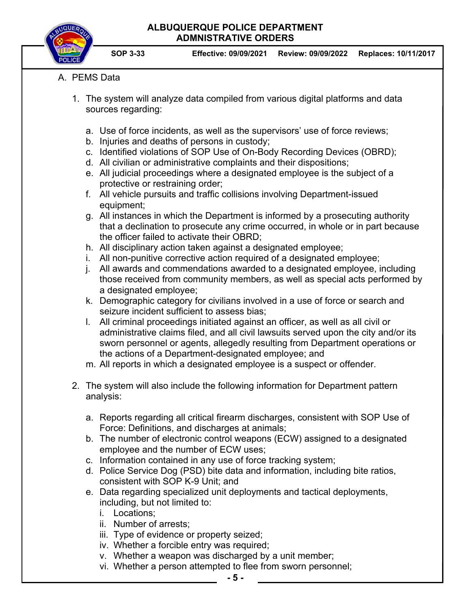

**SOP 3-33 Effective: 09/09/2021 Review: 09/09/2022 Replaces: 10/11/2017**

## A. PEMS Data

- 1. The system will analyze data compiled from various digital platforms and data sources regarding:
	- a. Use of force incidents, as well as the supervisors' use of force reviews;
	- b. Injuries and deaths of persons in custody;
	- c. Identified violations of SOP Use of On-Body Recording Devices (OBRD);
	- d. All civilian or administrative complaints and their dispositions;
	- e. All judicial proceedings where a designated employee is the subject of a protective or restraining order;
	- f. All vehicle pursuits and traffic collisions involving Department-issued equipment;

g. All instances in which the Department is informed by a prosecuting authority that a declination to prosecute any crime occurred, in whole or in part because the officer failed to activate their OBRD;

- h. All disciplinary action taken against a designated employee;
- i. All non-punitive corrective action required of a designated employee;
- j. All awards and commendations awarded to a designated employee, including those received from community members, as well as special acts performed by a designated employee;
- k. Demographic category for civilians involved in a use of force or search and seizure incident sufficient to assess bias;
- l. All criminal proceedings initiated against an officer, as well as all civil or administrative claims filed, and all civil lawsuits served upon the city and/or its sworn personnel or agents, allegedly resulting from Department operations or the actions of a Department-designated employee; and
- m. All reports in which a designated employee is a suspect or offender.
- 2. The system will also include the following information for Department pattern analysis:
	- a. Reports regarding all critical firearm discharges, consistent with SOP Use of Force: Definitions, and discharges at animals;
	- b. The number of electronic control weapons (ECW) assigned to a designated employee and the number of ECW uses;
	- c. Information contained in any use of force tracking system;
	- d. Police Service Dog (PSD) bite data and information, including bite ratios, consistent with SOP K-9 Unit; and
	- e. Data regarding specialized unit deployments and tactical deployments, including, but not limited to:
		- i. Locations;
		- ii. Number of arrests;
		- iii. Type of evidence or property seized;
		- iv. Whether a forcible entry was required;
		- v. Whether a weapon was discharged by a unit member;
		- vi. Whether a person attempted to flee from sworn personnel;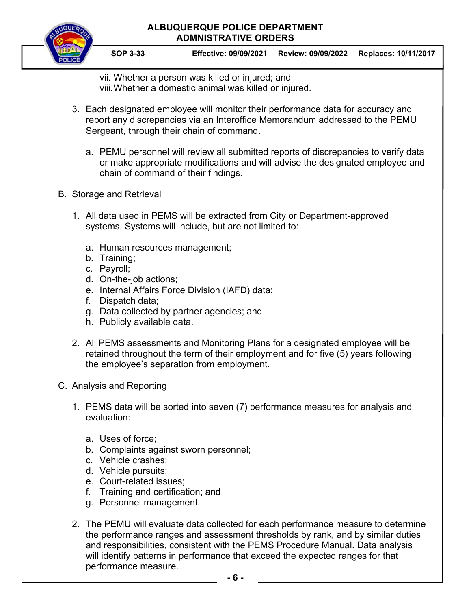**SOP 3-33 Effective: 09/09/2021 Review: 09/09/2022 Replaces: 10/11/2017**

vii. Whether a person was killed or injured; and viii. Whether a domestic animal was killed or injured.

- 3. Each designated employee will monitor their performance data for accuracy and report any discrepancies via an Interoffice Memorandum addressed to the PEMU Sergeant, through their chain of command.
	- a. PEMU personnel will review all submitted reports of discrepancies to verify data or make appropriate modifications and will advise the designated employee and chain of command of their findings.

## B. Storage and Retrieval

- 1. All data used in PEMS will be extracted from City or Department-approved systems. Systems will include, but are not limited to:
	- a. Human resources management;
	- b. Training;
	- c. Payroll;
	- d. On-the-job actions;
	- e. Internal Affairs Force Division (IAFD) data;
	- f. Dispatch data;
	- g. Data collected by partner agencies; and
	- h. Publicly available data.
- 2. All PEMS assessments and Monitoring Plans for a designated employee will be retained throughout the term of their employment and for five (5) years following the employee's separation from employment.
- C. Analysis and Reporting
	- 1. PEMS data will be sorted into seven (7) performance measures for analysis and evaluation:
		- a. Uses of force;
		- b. Complaints against sworn personnel;
		- c. Vehicle crashes;
		- d. Vehicle pursuits;
		- e. Court-related issues;
		- f. Training and certification; and
		- g. Personnel management.
	- 2. The PEMU will evaluate data collected for each performance measure to determine the performance ranges and assessment thresholds by rank, and by similar duties and responsibilities, consistent with the PEMS Procedure Manual. Data analysis will identify patterns in performance that exceed the expected ranges for that performance measure.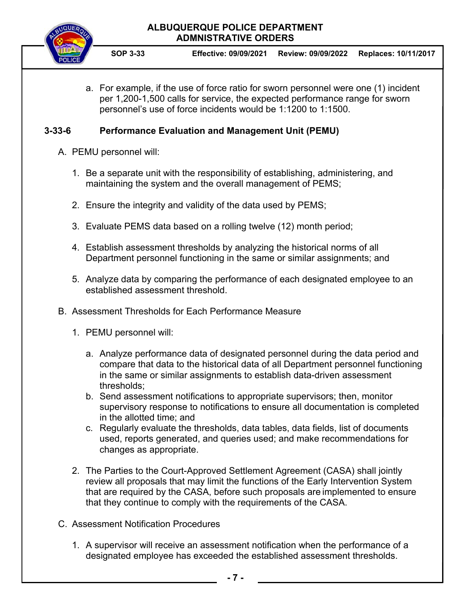- **SOP 3-33 Effective: 09/09/2021 Review: 09/09/2022 Replaces: 10/11/2017**
- a. For example, if the use of force ratio for sworn personnel were one (1) incident per 1,200-1,500 calls for service, the expected performance range for sworn personnel's use of force incidents would be 1:1200 to 1:1500.

## **3-33-6 Performance Evaluation and Management Unit (PEMU)**

- A. PEMU personnel will:
	- 1. Be a separate unit with the responsibility of establishing, administering, and maintaining the system and the overall management of PEMS;
	- 2. Ensure the integrity and validity of the data used by PEMS;
	- 3. Evaluate PEMS data based on a rolling twelve (12) month period;
	- 4. Establish assessment thresholds by analyzing the historical norms of all Department personnel functioning in the same or similar assignments; and
	- 5. Analyze data by comparing the performance of each designated employee to an established assessment threshold.
- B. Assessment Thresholds for Each Performance Measure
	- 1. PEMU personnel will:
		- a. Analyze performance data of designated personnel during the data period and compare that data to the historical data of all Department personnel functioning in the same or similar assignments to establish data-driven assessment thresholds;
		- b. Send assessment notifications to appropriate supervisors; then, monitor supervisory response to notifications to ensure all documentation is completed in the allotted time; and
		- c. Regularly evaluate the thresholds, data tables, data fields, list of documents used, reports generated, and queries used; and make recommendations for changes as appropriate.
	- 2. The Parties to the Court-Approved Settlement Agreement (CASA) shall jointly review all proposals that may limit the functions of the Early Intervention System that are required by the CASA, before such proposals are implemented to ensure that they continue to comply with the requirements of the CASA.
- C. Assessment Notification Procedures
	- 1. A supervisor will receive an assessment notification when the performance of a designated employee has exceeded the established assessment thresholds.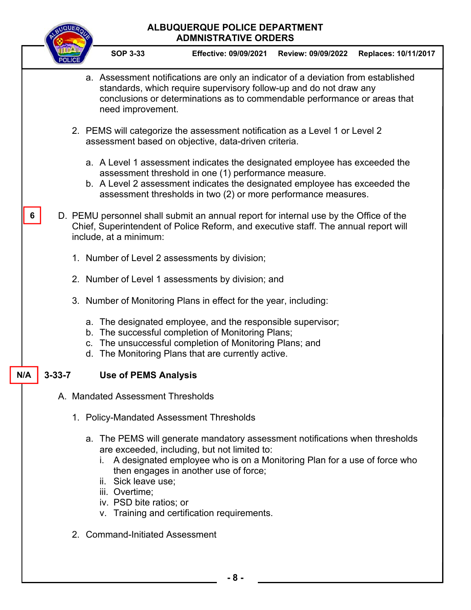# **ALBUQUERQUE POLICE DEPARTMENT ADMNISTRATIVE ORDERS SOP 3-33 Effective: 09/09/2021 Review: 09/09/2022 Replaces: 10/11/2017** a. Assessment notifications are only an indicator of a deviation from established standards, which require supervisory follow-up and do not draw any conclusions or determinations as to commendable performance or areas that need improvement. 2. PEMS will categorize the assessment notification as a Level 1 or Level 2 assessment based on objective, data-driven criteria. a. A Level 1 assessment indicates the designated employee has exceeded the assessment threshold in one (1) performance measure. b. A Level 2 assessment indicates the designated employee has exceeded the assessment thresholds in two (2) or more performance measures. D. PEMU personnel shall submit an annual report for internal use by the Office of the Chief, Superintendent of Police Reform, and executive staff. The annual report will include, at a minimum: 1. Number of Level 2 assessments by division; 2. Number of Level 1 assessments by division; and 3. Number of Monitoring Plans in effect for the year, including: a. The designated employee, and the responsible supervisor; b. The successful completion of Monitoring Plans; c. The unsuccessful completion of Monitoring Plans; and d. The Monitoring Plans that are currently active. **3-33-7 Use of PEMS Analysis**  A. Mandated Assessment Thresholds 1. Policy-Mandated Assessment Thresholds a. The PEMS will generate mandatory assessment notifications when thresholds are exceeded, including, but not limited to: i. A designated employee who is on a Monitoring Plan for a use of force who then engages in another use of force; ii. Sick leave use; iii. Overtime; iv. PSD bite ratios; or v. Training and certification requirements. **6 N/A**

2. Command-Initiated Assessment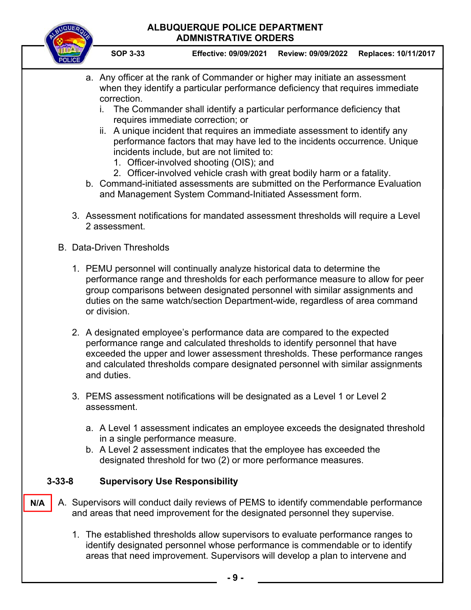

**SOP 3-33 Effective: 09/09/2021 Review: 09/09/2022 Replaces: 10/11/2017**

- a. Any officer at the rank of Commander or higher may initiate an assessment when they identify a particular performance deficiency that requires immediate correction.
	- i. The Commander shall identify a particular performance deficiency that requires immediate correction; or
	- ii. A unique incident that requires an immediate assessment to identify any performance factors that may have led to the incidents occurrence. Unique incidents include, but are not limited to:
		- 1. Officer-involved shooting (OIS); and
		- 2. Officer-involved vehicle crash with great bodily harm or a fatality.
- b. Command-initiated assessments are submitted on the Performance Evaluation and Management System Command-Initiated Assessment form.
- 3. Assessment notifications for mandated assessment thresholds will require a Level 2 assessment.
- B. Data-Driven Thresholds
	- 1. PEMU personnel will continually analyze historical data to determine the performance range and thresholds for each performance measure to allow for peer group comparisons between designated personnel with similar assignments and duties on the same watch/section Department-wide, regardless of area command or division.
	- 2. A designated employee's performance data are compared to the expected performance range and calculated thresholds to identify personnel that have exceeded the upper and lower assessment thresholds. These performance ranges and calculated thresholds compare designated personnel with similar assignments and duties.
	- 3. PEMS assessment notifications will be designated as a Level 1 or Level 2 assessment.
		- a. A Level 1 assessment indicates an employee exceeds the designated threshold in a single performance measure.
		- b. A Level 2 assessment indicates that the employee has exceeded the designated threshold for two (2) or more performance measures.

## **3-33-8 Supervisory Use Responsibility**

- A. Supervisors will conduct daily reviews of PEMS to identify commendable performance and areas that need improvement for the designated personnel they supervise. **N/A** 
	- 1. The established thresholds allow supervisors to evaluate performance ranges to identify designated personnel whose performance is commendable or to identify areas that need improvement. Supervisors will develop a plan to intervene and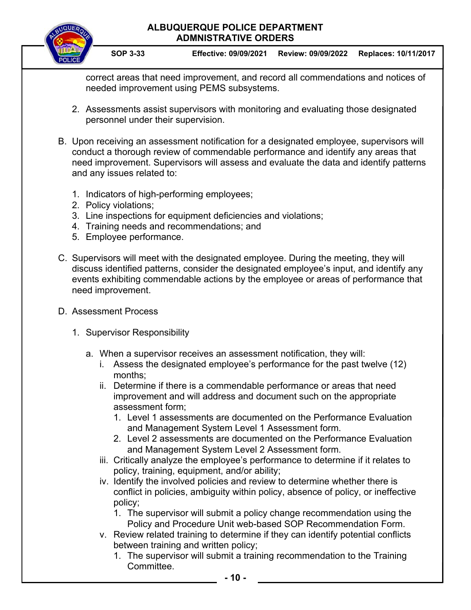**SOP 3-33 Effective: 09/09/2021 Review: 09/09/2022 Replaces: 10/11/2017**

correct areas that need improvement, and record all commendations and notices of needed improvement using PEMS subsystems.

- 2. Assessments assist supervisors with monitoring and evaluating those designated personnel under their supervision.
- B. Upon receiving an assessment notification for a designated employee, supervisors will conduct a thorough review of commendable performance and identify any areas that need improvement. Supervisors will assess and evaluate the data and identify patterns and any issues related to:
	- 1. Indicators of high-performing employees;
	- 2. Policy violations;
	- 3. Line inspections for equipment deficiencies and violations;
	- 4. Training needs and recommendations; and
	- 5. Employee performance.
- C. Supervisors will meet with the designated employee. During the meeting, they will discuss identified patterns, consider the designated employee's input, and identify any events exhibiting commendable actions by the employee or areas of performance that need improvement.
- D. Assessment Process
	- 1. Supervisor Responsibility
		- a. When a supervisor receives an assessment notification, they will:
			- i. Assess the designated employee's performance for the past twelve (12) months;
			- ii. Determine if there is a commendable performance or areas that need improvement and will address and document such on the appropriate assessment form;
				- 1. Level 1 assessments are documented on the Performance Evaluation and Management System Level 1 Assessment form.
				- 2. Level 2 assessments are documented on the Performance Evaluation and Management System Level 2 Assessment form.
			- iii. Critically analyze the employee's performance to determine if it relates to policy, training, equipment, and/or ability;
			- iv. Identify the involved policies and review to determine whether there is conflict in policies, ambiguity within policy, absence of policy, or ineffective policy;
				- 1. The supervisor will submit a policy change recommendation using the Policy and Procedure Unit web-based SOP Recommendation Form.
			- v. Review related training to determine if they can identify potential conflicts between training and written policy;
				- 1. The supervisor will submit a training recommendation to the Training Committee.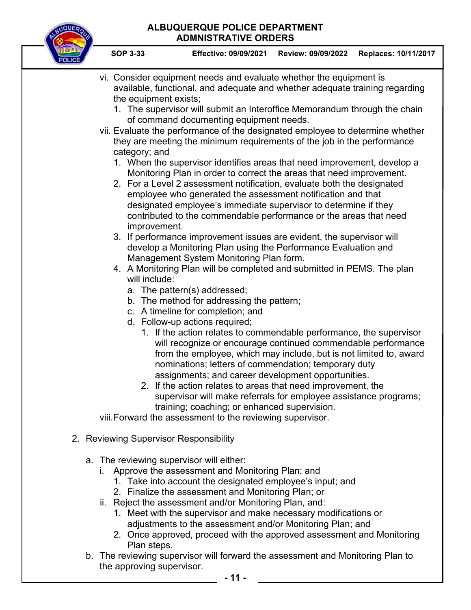

**SOP 3-33 Effective: 09/09/2021 Review: 09/09/2022 Replaces: 10/11/2017**

- vi. Consider equipment needs and evaluate whether the equipment is available, functional, and adequate and whether adequate training regarding the equipment exists; 1. The supervisor will submit an Interoffice Memorandum through the chain of command documenting equipment needs. vii. Evaluate the performance of the designated employee to determine whether they are meeting the minimum requirements of the job in the performance category; and 1. When the supervisor identifies areas that need improvement, develop a Monitoring Plan in order to correct the areas that need improvement. 2. For a Level 2 assessment notification, evaluate both the designated employee who generated the assessment notification and that designated employee's immediate supervisor to determine if they contributed to the commendable performance or the areas that need improvement. 3. If performance improvement issues are evident, the supervisor will develop a Monitoring Plan using the Performance Evaluation and Management System Monitoring Plan form. 4. A Monitoring Plan will be completed and submitted in PEMS. The plan will include: a. The pattern(s) addressed; b. The method for addressing the pattern; c. A timeline for completion; and d. Follow-up actions required; 1. If the action relates to commendable performance, the supervisor will recognize or encourage continued commendable performance from the employee, which may include, but is not limited to, award nominations; letters of commendation; temporary duty assignments; and career development opportunities. 2. If the action relates to areas that need improvement, the supervisor will make referrals for employee assistance programs; training; coaching; or enhanced supervision. viii. Forward the assessment to the reviewing supervisor. 2. Reviewing Supervisor Responsibility a. The reviewing supervisor will either: i. Approve the assessment and Monitoring Plan; and 1. Take into account the designated employee's input; and 2. Finalize the assessment and Monitoring Plan; or ii. Reject the assessment and/or Monitoring Plan, and: 1. Meet with the supervisor and make necessary modifications or adjustments to the assessment and/or Monitoring Plan; and 2. Once approved, proceed with the approved assessment and Monitoring Plan steps.
	- b. The reviewing supervisor will forward the assessment and Monitoring Plan to the approving supervisor.